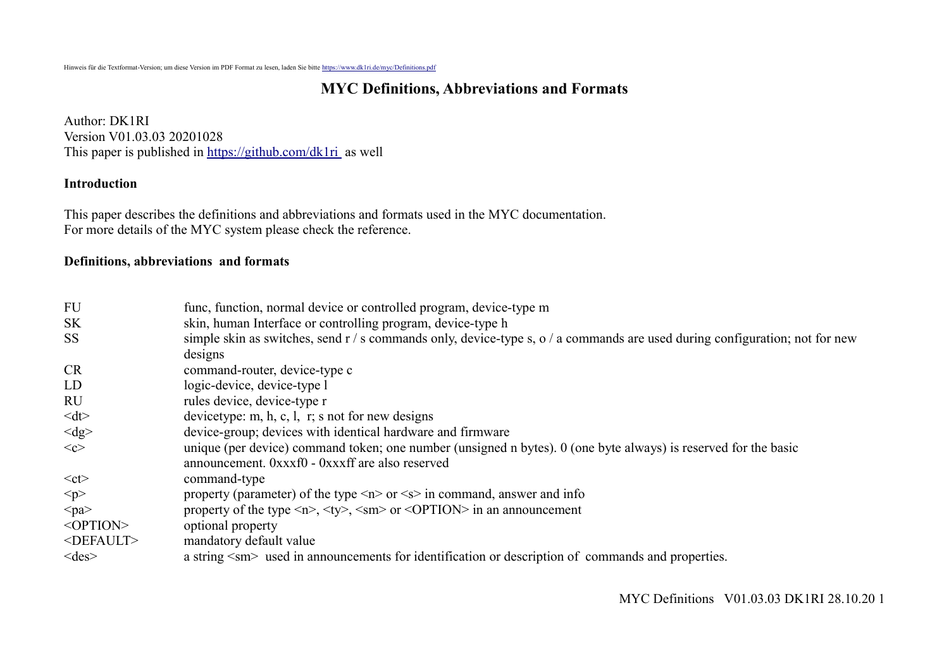# **MYC Definitions, Abbreviations and Formats**

Author: DK1RI Version V01.03.03 20201028 This paper is published in<https://github.com/dk1ri>as well

#### **Introduction**

This paper describes the definitions and abbreviations and formats used in the MYC documentation. For more details of the MYC system please check the reference.

#### **Definitions, abbreviations and formats**

| <b>FU</b>           | func, function, normal device or controlled program, device-type m                                                                                                                         |
|---------------------|--------------------------------------------------------------------------------------------------------------------------------------------------------------------------------------------|
| <b>SK</b>           | skin, human Interface or controlling program, device-type h                                                                                                                                |
| <b>SS</b>           | simple skin as switches, send $r / s$ commands only, device-type s, o $/ a$ commands are used during configuration; not for new                                                            |
|                     | designs                                                                                                                                                                                    |
| <b>CR</b>           | command-router, device-type c                                                                                                                                                              |
| LD                  | logic-device, device-type l                                                                                                                                                                |
| <b>RU</b>           | rules device, device-type r                                                                                                                                                                |
| <dt></dt>           | devicetype: m, h, c, l, r; s not for new designs                                                                                                                                           |
| $<$ dg>             | device-group; devices with identical hardware and firmware                                                                                                                                 |
| < <c></c>           | unique (per device) command token; one number (unsigned n bytes). 0 (one byte always) is reserved for the basic                                                                            |
|                     | announcement. 0xxxf0 - 0xxxff are also reserved                                                                                                                                            |
| $<$ ct $>$          | command-type                                                                                                                                                                               |
| < p >               | property (parameter) of the type $\langle n \rangle$ or $\langle s \rangle$ in command, answer and info                                                                                    |
| $<$ pa $>$          | property of the type $\langle n \rangle$ , $\langle \langle \rangle$ , $\langle \langle \rangle$ or $\langle \langle \rangle$ or $\langle \rangle$ or $\langle \rangle$ in an announcement |
| <option></option>   | optional property                                                                                                                                                                          |
| <default></default> | mandatory default value                                                                                                                                                                    |
| $<$ des $>$         | a string <sm> used in announcements for identification or description of commands and properties.</sm>                                                                                     |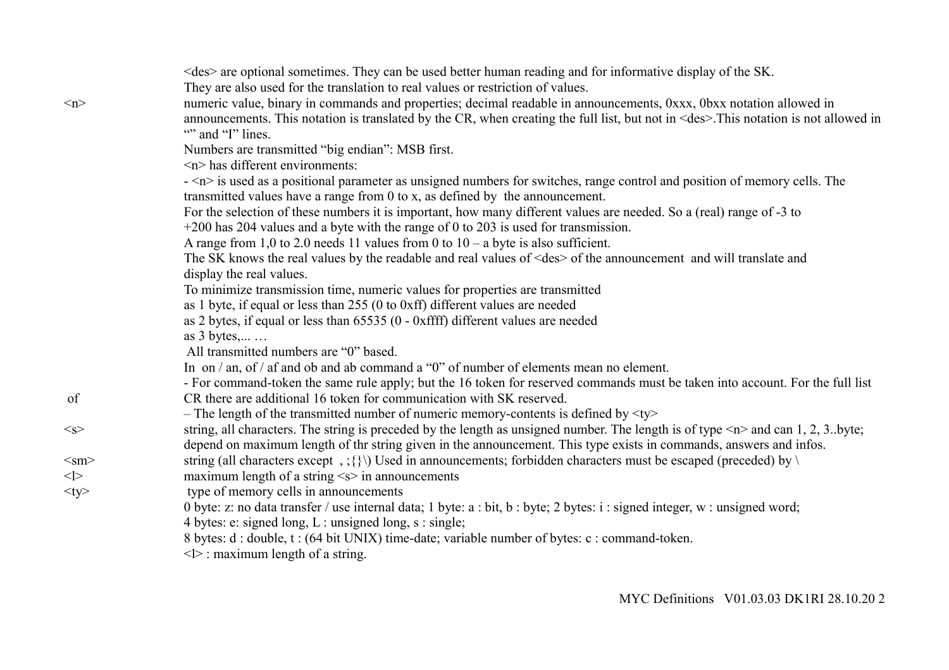|            | <des> are optional sometimes. They can be used better human reading and for informative display of the SK.</des>                           |
|------------|--------------------------------------------------------------------------------------------------------------------------------------------|
|            | They are also used for the translation to real values or restriction of values.                                                            |
| $\leq n$   | numeric value, binary in commands and properties; decimal readable in announcements, 0xxx, 0bxx notation allowed in                        |
|            | announcements. This notation is translated by the CR, when creating the full list, but not in <des>. This notation is not allowed in</des> |
|            | "" and "I" lines.                                                                                                                          |
|            | Numbers are transmitted "big endian": MSB first.                                                                                           |
|            | $\langle n \rangle$ has different environments:                                                                                            |
|            | - <n> is used as a positional parameter as unsigned numbers for switches, range control and position of memory cells. The</n>              |
|            | transmitted values have a range from $0$ to x, as defined by the announcement.                                                             |
|            | For the selection of these numbers it is important, how many different values are needed. So a (real) range of -3 to                       |
|            | $+200$ has 204 values and a byte with the range of 0 to 203 is used for transmission.                                                      |
|            | A range from 1,0 to 2.0 needs 11 values from 0 to $10 - a$ byte is also sufficient.                                                        |
|            | The SK knows the real values by the readable and real values of <des> of the announcement and will translate and</des>                     |
|            | display the real values.                                                                                                                   |
|            | To minimize transmission time, numeric values for properties are transmitted                                                               |
|            | as 1 byte, if equal or less than $255(0)$ to 0xff) different values are needed                                                             |
|            | as 2 bytes, if equal or less than 65535 (0 - 0xffff) different values are needed                                                           |
|            | as $3$ bytes,                                                                                                                              |
|            | All transmitted numbers are "0" based.                                                                                                     |
|            | In on $/$ an, of $/$ af and ob and ab command a "0" of number of elements mean no element.                                                 |
|            | - For command-token the same rule apply; but the 16 token for reserved commands must be taken into account. For the full list              |
| of         | CR there are additional 16 token for communication with SK reserved.                                                                       |
|            | - The length of the transmitted number of numeric memory-contents is defined by $\langle ty \rangle$                                       |
| $<_S>$     | string, all characters. The string is preceded by the length as unsigned number. The length is of type $\leq n$ and can 1, 2, 3. byte;     |
|            | depend on maximum length of thr string given in the announcement. This type exists in commands, answers and infos.                         |
| $<$ sm $>$ | string (all characters except, ; {}\) Used in announcements; forbidden characters must be escaped (preceded) by \                          |
| $<$ $>$    | maximum length of a string $\leq s$ in announcements                                                                                       |
| $<$ ty $>$ | type of memory cells in announcements                                                                                                      |
|            | 0 byte: z: no data transfer / use internal data; 1 byte: a : bit, b : byte; 2 bytes: i : signed integer, w : unsigned word;                |
|            | 4 bytes: e: signed long, $L:$ unsigned long, $s:$ single;                                                                                  |
|            | 8 bytes: d : double, t : (64 bit UNIX) time-date; variable number of bytes: c : command-token.                                             |
|            | $\langle \rangle$ : maximum length of a string.                                                                                            |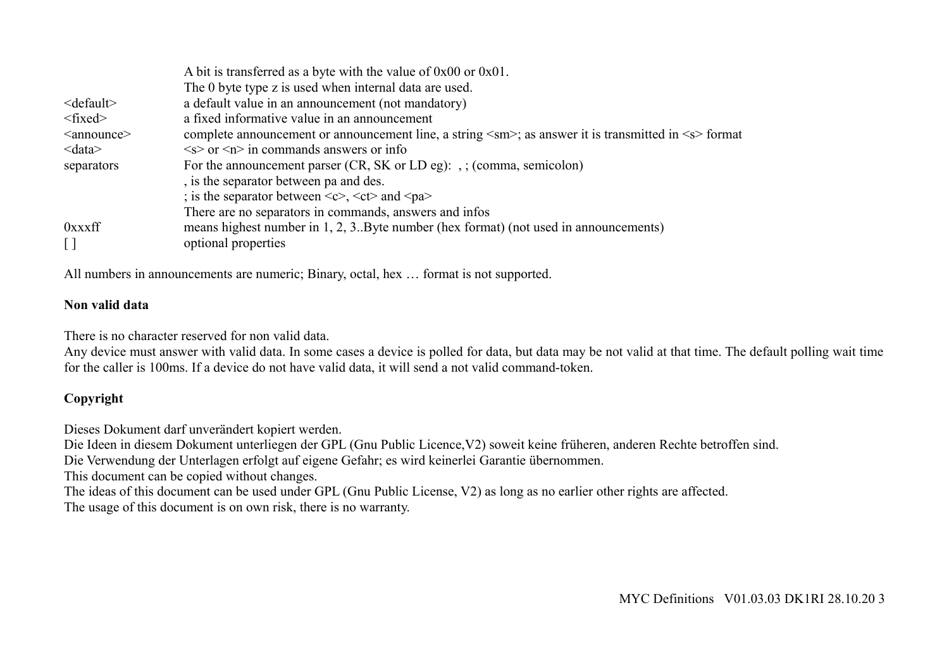|                       | A bit is transferred as a byte with the value of $0x00$ or $0x01$ .                                           |
|-----------------------|---------------------------------------------------------------------------------------------------------------|
|                       | The 0 byte type z is used when internal data are used.                                                        |
| $\le$ default $\ge$   | a default value in an announcement (not mandatory)                                                            |
| $<$ fixed $>$         | a fixed informative value in an announcement                                                                  |
| <announce></announce> | complete announcement or announcement line, a string <sm>; as answer it is transmitted in <s> format</s></sm> |
| $&$ data $&$          | $\langle s \rangle$ or $\langle n \rangle$ in commands answers or info                                        |
| separators            | For the announcement parser $(CR, SK \text{ or } LD \text{ eg})$ : , ; (comma, semicolon)                     |
|                       | , is the separator between pa and des.                                                                        |
|                       | ; is the separator between $\langle c \rangle$ , $\langle ct \rangle$ and $\langle pa \rangle$                |
|                       | There are no separators in commands, answers and infos                                                        |
| 0xxxff                | means highest number in 1, 2, 3. Byte number (hex format) (not used in announcements)                         |
|                       | optional properties                                                                                           |

All numbers in announcements are numeric; Binary, octal, hex … format is not supported.

#### **Non valid data**

There is no character reserved for non valid data.

Any device must answer with valid data. In some cases a device is polled for data, but data may be not valid at that time. The default polling wait time for the caller is 100ms. If a device do not have valid data, it will send a not valid command-token.

## **Copyright**

Dieses Dokument darf unverändert kopiert werden.

Die Ideen in diesem Dokument unterliegen der GPL (Gnu Public Licence,V2) soweit keine früheren, anderen Rechte betroffen sind.

Die Verwendung der Unterlagen erfolgt auf eigene Gefahr; es wird keinerlei Garantie übernommen.

This document can be copied without changes.

The ideas of this document can be used under GPL (Gnu Public License, V2) as long as no earlier other rights are affected.

The usage of this document is on own risk, there is no warranty.